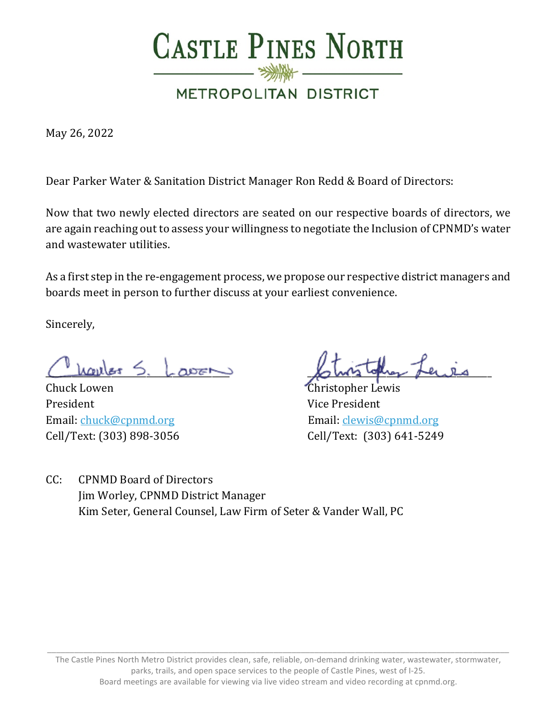

May 26, 2022

Dear Parker Water & Sanitation District Manager Ron Redd & Board of Directors:

Now that two newly elected directors are seated on our respective boards of directors, we are again reaching out to assess your willingness to negotiate the Inclusion of CPNMD's water and wastewater utilities.

As a first step in the re-engagement process, we propose our respective district managers and boards meet in person to further discuss at your earliest convenience.

Sincerely,

Chuck Lowen Christopher Lewis President Vice President Email: [chuck@cpnmd.org](mailto:chuck@cpnmd.org) Email: [clewis@cpnmd.org](mailto:clewis@cpnmd.org) Cell/Text: (303) 898-3056 Cell/Text: (303) 641-5249

\_\_\_\_\_\_\_\_\_\_\_\_\_\_\_\_\_\_\_\_\_\_\_\_\_\_\_\_\_\_\_\_\_\_\_\_\_\_\_\_\_\_ \_\_\_\_\_\_\_\_\_\_\_\_\_\_\_\_\_\_\_\_\_\_\_\_\_\_\_\_\_\_\_\_\_\_\_\_\_\_\_\_\_\_

CC: CPNMD Board of Directors Jim Worley, CPNMD District Manager Kim Seter, General Counsel, Law Firm of Seter & Vander Wall, PC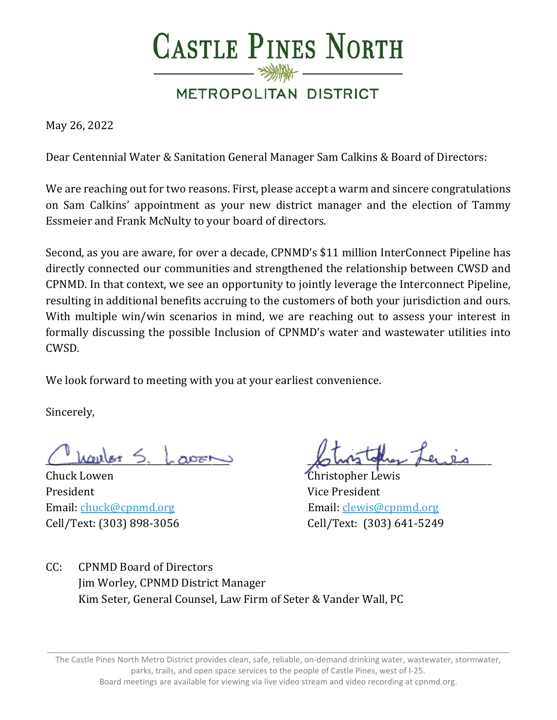

May 26, 2022

Dear Centennial Water & Sanitation General Manager Sam Calkins & Board of Directors:

We are reaching out for two reasons. First, please accept a warm and sincere congratulations on Sam Calkins' appointment as your new district manager and the election of Tammy Essmeier and Frank McNulty to your board of directors.

Second, as you are aware, for over a decade, CPNMD's \$11 million InterConnect Pipeline has directly connected our communities and strengthened the relationship between CWSD and CPNMD. In that context, we see an opportunity to jointly leverage the Interconnect Pipeline, resulting in additional benefits accruing to the customers of both your jurisdiction and ours. With multiple win/win scenarios in mind, we are reaching out to assess your interest in formally discussing the possible Inclusion of CPNMD's water and wastewater utilities into CWSD.

We look forward to meeting with you at your earliest convenience.

Sincerely,

 $L$ courles  $\leq$ 

Chuck Lowen Christopher Lewis President Vice President Email: [chuck@cpnmd.org](mailto:chuck@cpnmd.org) Email: [clewis@cpnmd.org](mailto:clewis@cpnmd.org)

Cell/Text: (303) 898-3056 Cell/Text: (303) 641-5249

CC: CPNMD Board of Directors Jim Worley, CPNMD District Manager Kim Seter, General Counsel, Law Firm of Seter & Vander Wall, PC

The Castle Pines North Metro District provides clean, safe, reliable, on-demand drinking water, wastewater, stormwater, parks, trails, and open space services to the people of Castle Pines, west of I-25. Board meetings are available for viewing via live video stream and video recording at cpnmd.org.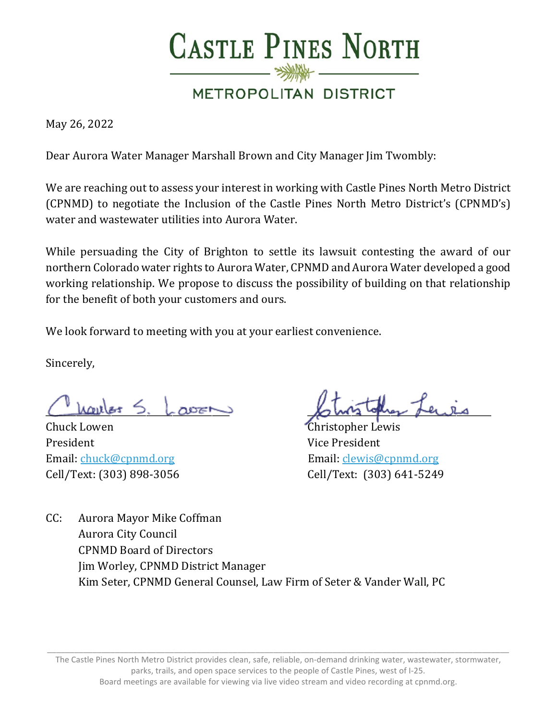

May 26, 2022

Dear Aurora Water Manager Marshall Brown and City Manager Jim Twombly:

We are reaching out to assess your interest in working with Castle Pines North Metro District (CPNMD) to negotiate the Inclusion of the Castle Pines North Metro District's (CPNMD's) water and wastewater utilities into Aurora Water.

While persuading the City of Brighton to settle its lawsuit contesting the award of our northern Colorado water rights to Aurora Water, CPNMD and Aurora Water developed a good working relationship. We propose to discuss the possibility of building on that relationship for the benefit of both your customers and ours.

We look forward to meeting with you at your earliest convenience.

Sincerely,

Chuck Lowen Christopher Lewis President Vice President Email: [chuck@cpnmd.org](mailto:chuck@cpnmd.org) Email: [clewis@cpnmd.org](mailto:clewis@cpnmd.org)

\_\_\_\_\_\_\_\_\_\_\_\_\_\_\_\_\_\_\_\_\_\_\_\_\_\_\_\_\_\_\_\_\_\_\_\_\_\_\_\_\_\_ \_\_\_\_\_\_\_\_\_\_\_\_\_\_\_\_\_\_\_\_\_\_\_\_\_\_\_\_\_\_\_\_\_\_\_\_\_\_\_\_\_\_

Cell/Text: (303) 898-3056 Cell/Text: (303) 641-5249

CC: Aurora Mayor Mike Coffman Aurora City Council CPNMD Board of Directors Jim Worley, CPNMD District Manager Kim Seter, CPNMD General Counsel, Law Firm of Seter & Vander Wall, PC

The Castle Pines North Metro District provides clean, safe, reliable, on-demand drinking water, wastewater, stormwater, parks, trails, and open space services to the people of Castle Pines, west of I-25. Board meetings are available for viewing via live video stream and video recording at cpnmd.org.